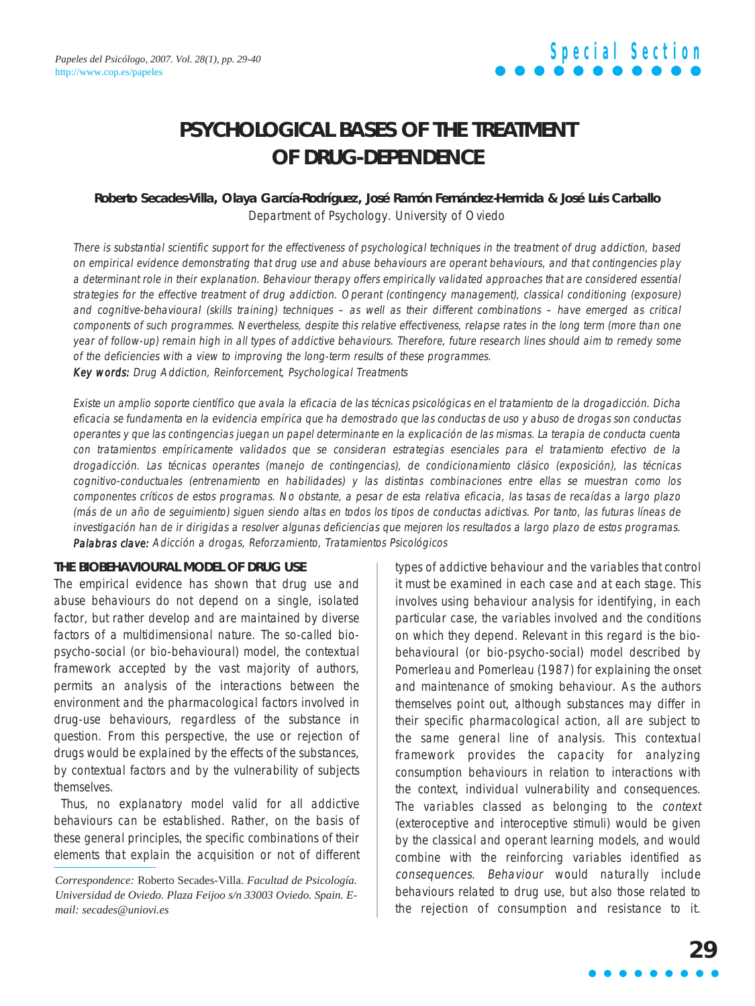## **PSYCHOLOGICAL BASES OF THE TREATMENT OF DRUG-DEPENDENCE**

## **Roberto Secades-Villa, Olaya García-Rodríguez, José Ramón Fernández-Hermida & José Luis Carballo** Department of Psychology. University of Oviedo

There is substantial scientific support for the effectiveness of psychological techniques in the treatment of drug addiction, based on empirical evidence demonstrating that drug use and abuse behaviours are operant behaviours, and that contingencies play a determinant role in their explanation. Behaviour therapy offers empirically validated approaches that are considered essential strategies for the effective treatment of drug addiction. Operant (contingency management), classical conditioning (exposure) and cognitive-behavioural (skills training) techniques – as well as their different combinations – have emerged as critical components of such programmes. Nevertheless, despite this relative effectiveness, relapse rates in the long term (more than one year of follow-up) remain high in all types of addictive behaviours. Therefore, future research lines should aim to remedy some of the deficiencies with a view to improving the long-term results of these programmes. Key words: Drug Addiction, Reinforcement, Psychological Treatments

Existe un amplio soporte científico que avala la eficacia de las técnicas psicológicas en el tratamiento de la drogadicción. Dicha eficacia se fundamenta en la evidencia empírica que ha demostrado que las conductas de uso y abuso de drogas son conductas operantes y que las contingencias juegan un papel determinante en la explicación de las mismas. La terapia de conducta cuenta con tratamientos empíricamente validados que se consideran estrategias esenciales para el tratamiento efectivo de la drogadicción. Las técnicas operantes (manejo de contingencias), de condicionamiento clásico (exposición), las técnicas cognitivo-conductuales (entrenamiento en habilidades) y las distintas combinaciones entre ellas se muestran como los componentes críticos de estos programas. No obstante, a pesar de esta relativa eficacia, las tasas de recaídas a largo plazo (más de un año de seguimiento) siguen siendo altas en todos los tipos de conductas adictivas. Por tanto, las futuras líneas de investigación han de ir dirigidas a resolver algunas deficiencias que mejoren los resultados a largo plazo de estos programas. Palabras clave: Adicción a drogas, Reforzamiento, Tratamientos Psicológicos

### **THE BIOBEHAVIOURAL MODEL OF DRUG USE**

The empirical evidence has shown that drug use and abuse behaviours do not depend on a single, isolated factor, but rather develop and are maintained by diverse factors of a multidimensional nature. The so-called biopsycho-social (or bio-behavioural) model, the contextual framework accepted by the vast majority of authors, permits an analysis of the interactions between the environment and the pharmacological factors involved in drug-use behaviours, regardless of the substance in question. From this perspective, the use or rejection of drugs would be explained by the effects of the substances, by contextual factors and by the vulnerability of subjects themselves.

Thus, no explanatory model valid for all addictive behaviours can be established. Rather, on the basis of these general principles, the specific combinations of their elements that explain the acquisition or not of different types of addictive behaviour and the variables that control it must be examined in each case and at each stage. This involves using behaviour analysis for identifying, in each particular case, the variables involved and the conditions on which they depend. Relevant in this regard is the biobehavioural (or bio-psycho-social) model described by Pomerleau and Pomerleau (1987) for explaining the onset and maintenance of smoking behaviour. As the authors themselves point out, although substances may differ in their specific pharmacological action, all are subject to the same general line of analysis. This contextual framework provides the capacity for analyzing consumption behaviours in relation to interactions with the context, individual vulnerability and consequences. The variables classed as belonging to the context (exteroceptive and interoceptive stimuli) would be given by the classical and operant learning models, and would combine with the reinforcing variables identified as consequences. Behaviour would naturally include behaviours related to drug use, but also those related to the rejection of consumption and resistance to it.

*Correspondence:* Roberto Secades-Villa. *Facultad de Psicología. Universidad de Oviedo. Plaza Feijoo s/n 33003 Oviedo. Spain. Email: secades@uniovi.es*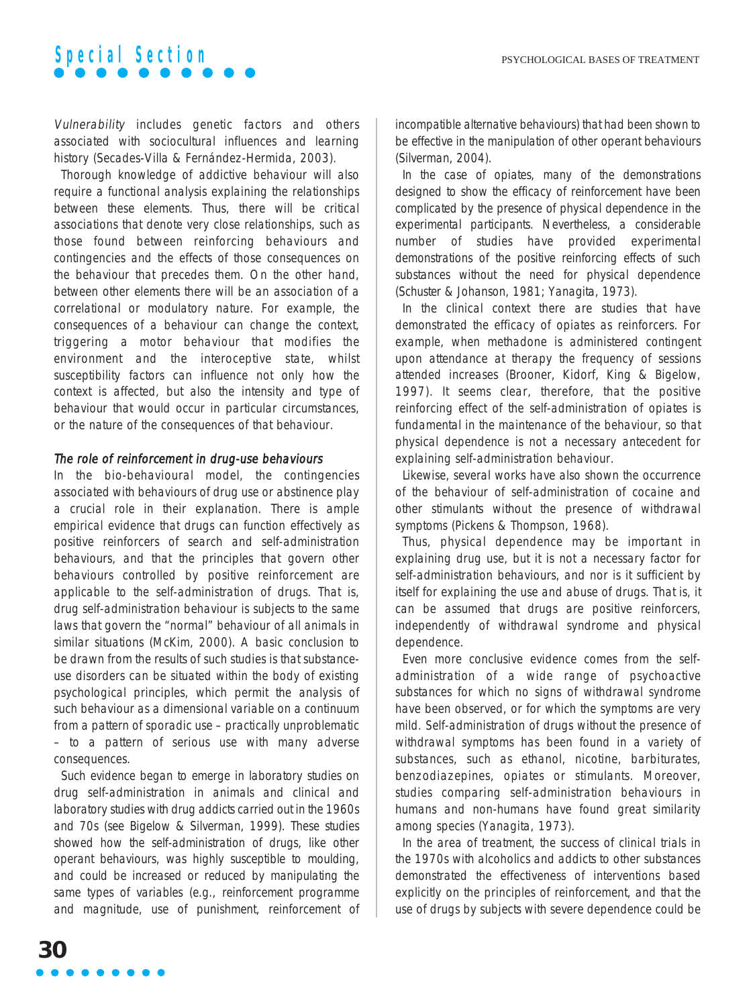Vulnerability includes genetic factors and others associated with sociocultural influences and learning history (Secades-Villa & Fernández-Hermida, 2003).

Thorough knowledge of addictive behaviour will also require a functional analysis explaining the relationships between these elements. Thus, there will be critical associations that denote very close relationships, such as those found between reinforcing behaviours and contingencies and the effects of those consequences on the behaviour that precedes them. On the other hand, between other elements there will be an association of a correlational or modulatory nature. For example, the consequences of a behaviour can change the context, triggering a motor behaviour that modifies the environment and the interoceptive state, whilst susceptibility factors can influence not only how the context is affected, but also the intensity and type of behaviour that would occur in particular circumstances, or the nature of the consequences of that behaviour.

### The role of reinforcement in drug-use behaviours

In the bio-behavioural model, the contingencies associated with behaviours of drug use or abstinence play a crucial role in their explanation. There is ample empirical evidence that drugs can function effectively as positive reinforcers of search and self-administration behaviours, and that the principles that govern other behaviours controlled by positive reinforcement are applicable to the self-administration of drugs. That is, drug self-administration behaviour is subjects to the same laws that govern the "normal" behaviour of all animals in similar situations (McKim, 2000). A basic conclusion to be drawn from the results of such studies is that substanceuse disorders can be situated within the body of existing psychological principles, which permit the analysis of such behaviour as a dimensional variable on a continuum from a pattern of sporadic use – practically unproblematic – to a pattern of serious use with many adverse consequences.

Such evidence began to emerge in laboratory studies on drug self-administration in animals and clinical and laboratory studies with drug addicts carried out in the 1960s and 70s (see Bigelow & Silverman, 1999). These studies showed how the self-administration of drugs, like other operant behaviours, was highly susceptible to moulding, and could be increased or reduced by manipulating the same types of variables (e.g., reinforcement programme and magnitude, use of punishment, reinforcement of incompatible alternative behaviours) that had been shown to be effective in the manipulation of other operant behaviours (Silverman, 2004).

In the case of opiates, many of the demonstrations designed to show the efficacy of reinforcement have been complicated by the presence of physical dependence in the experimental participants. Nevertheless, a considerable number of studies have provided experimental demonstrations of the positive reinforcing effects of such substances without the need for physical dependence (Schuster & Johanson, 1981; Yanagita, 1973).

In the clinical context there are studies that have demonstrated the efficacy of opiates as reinforcers. For example, when methadone is administered contingent upon attendance at therapy the frequency of sessions attended increases (Brooner, Kidorf, King & Bigelow, 1997). It seems clear, therefore, that the positive reinforcing effect of the self-administration of opiates is fundamental in the maintenance of the behaviour, so that physical dependence is not a necessary antecedent for explaining self-administration behaviour.

Likewise, several works have also shown the occurrence of the behaviour of self-administration of cocaine and other stimulants without the presence of withdrawal symptoms (Pickens & Thompson, 1968).

Thus, physical dependence may be important in explaining drug use, but it is not a necessary factor for self-administration behaviours, and nor is it sufficient by itself for explaining the use and abuse of drugs. That is, it can be assumed that drugs are positive reinforcers, independently of withdrawal syndrome and physical dependence.

Even more conclusive evidence comes from the selfadministration of a wide range of psychoactive substances for which no signs of withdrawal syndrome have been observed, or for which the symptoms are very mild. Self-administration of drugs without the presence of withdrawal symptoms has been found in a variety of substances, such as ethanol, nicotine, barbiturates, benzodiazepines, opiates or stimulants. Moreover, studies comparing self-administration behaviours in humans and non-humans have found great similarity among species (Yanagita, 1973).

In the area of treatment, the success of clinical trials in the 1970s with alcoholics and addicts to other substances demonstrated the effectiveness of interventions based explicitly on the principles of reinforcement, and that the use of drugs by subjects with severe dependence could be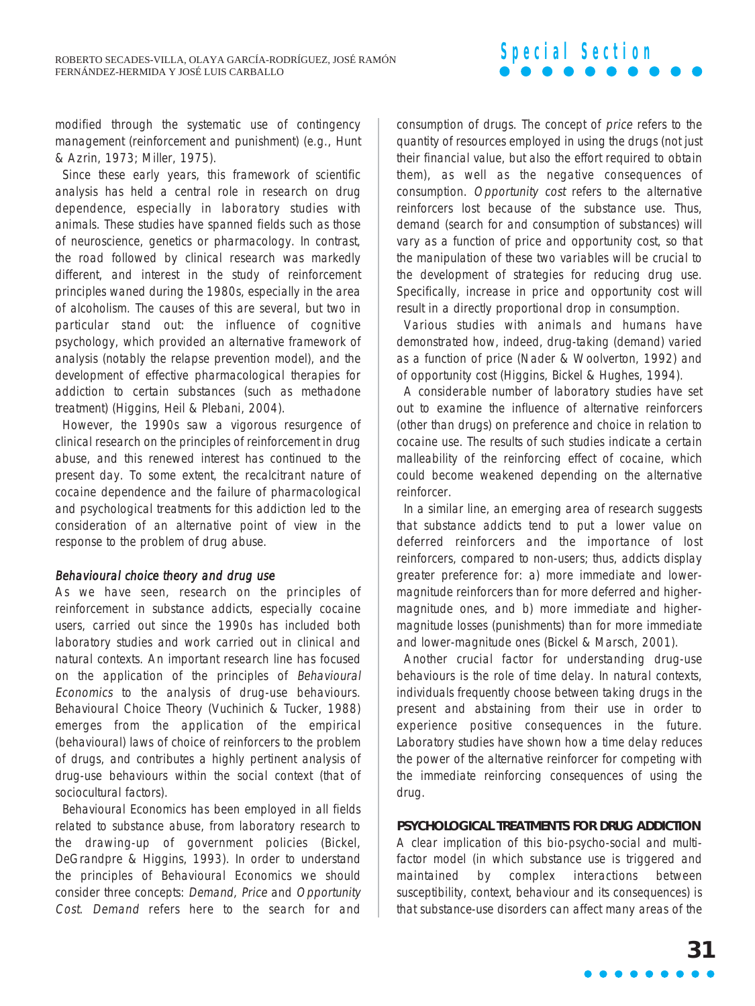modified through the systematic use of contingency management (reinforcement and punishment) (e.g., Hunt & Azrin, 1973; Miller, 1975).

Since these early years, this framework of scientific analysis has held a central role in research on drug dependence, especially in laboratory studies with animals. These studies have spanned fields such as those of neuroscience, genetics or pharmacology. In contrast, the road followed by clinical research was markedly different, and interest in the study of reinforcement principles waned during the 1980s, especially in the area of alcoholism. The causes of this are several, but two in particular stand out: the influence of cognitive psychology, which provided an alternative framework of analysis (notably the relapse prevention model), and the development of effective pharmacological therapies for addiction to certain substances (such as methadone treatment) (Higgins, Heil & Plebani, 2004).

However, the 1990s saw a vigorous resurgence of clinical research on the principles of reinforcement in drug abuse, and this renewed interest has continued to the present day. To some extent, the recalcitrant nature of cocaine dependence and the failure of pharmacological and psychological treatments for this addiction led to the consideration of an alternative point of view in the response to the problem of drug abuse.

### Behavioural choice theory and drug use

As we have seen, research on the principles of reinforcement in substance addicts, especially cocaine users, carried out since the 1990s has included both laboratory studies and work carried out in clinical and natural contexts. An important research line has focused on the application of the principles of Behavioural Economics to the analysis of drug-use behaviours. Behavioural Choice Theory (Vuchinich & Tucker, 1988) emerges from the application of the empirical (behavioural) laws of choice of reinforcers to the problem of drugs, and contributes a highly pertinent analysis of drug-use behaviours within the social context (that of sociocultural factors).

Behavioural Economics has been employed in all fields related to substance abuse, from laboratory research to the drawing-up of government policies (Bickel, DeGrandpre & Higgins, 1993). In order to understand the principles of Behavioural Economics we should consider three concepts: Demand, Price and Opportunity Cost. Demand refers here to the search for and consumption of drugs. The concept of price refers to the quantity of resources employed in using the drugs (not just their financial value, but also the effort required to obtain them), as well as the negative consequences of consumption. Opportunity cost refers to the alternative reinforcers lost because of the substance use. Thus, demand (search for and consumption of substances) will vary as a function of price and opportunity cost, so that the manipulation of these two variables will be crucial to the development of strategies for reducing drug use. Specifically, increase in price and opportunity cost will result in a directly proportional drop in consumption.

Various studies with animals and humans have demonstrated how, indeed, drug-taking (demand) varied as a function of price (Nader & Woolverton, 1992) and of opportunity cost (Higgins, Bickel & Hughes, 1994).

A considerable number of laboratory studies have set out to examine the influence of alternative reinforcers (other than drugs) on preference and choice in relation to cocaine use. The results of such studies indicate a certain malleability of the reinforcing effect of cocaine, which could become weakened depending on the alternative reinforcer.

In a similar line, an emerging area of research suggests that substance addicts tend to put a lower value on deferred reinforcers and the importance of lost reinforcers, compared to non-users; thus, addicts display greater preference for: a) more immediate and lowermagnitude reinforcers than for more deferred and highermagnitude ones, and b) more immediate and highermagnitude losses (punishments) than for more immediate and lower-magnitude ones (Bickel & Marsch, 2001).

Another crucial factor for understanding drug-use behaviours is the role of time delay. In natural contexts, individuals frequently choose between taking drugs in the present and abstaining from their use in order to experience positive consequences in the future. Laboratory studies have shown how a time delay reduces the power of the alternative reinforcer for competing with the immediate reinforcing consequences of using the drug.

## **PSYCHOLOGICAL TREATMENTS FOR DRUG ADDICTION**

A clear implication of this bio-psycho-social and multifactor model (in which substance use is triggered and maintained by complex interactions between susceptibility, context, behaviour and its consequences) is that substance-use disorders can affect many areas of the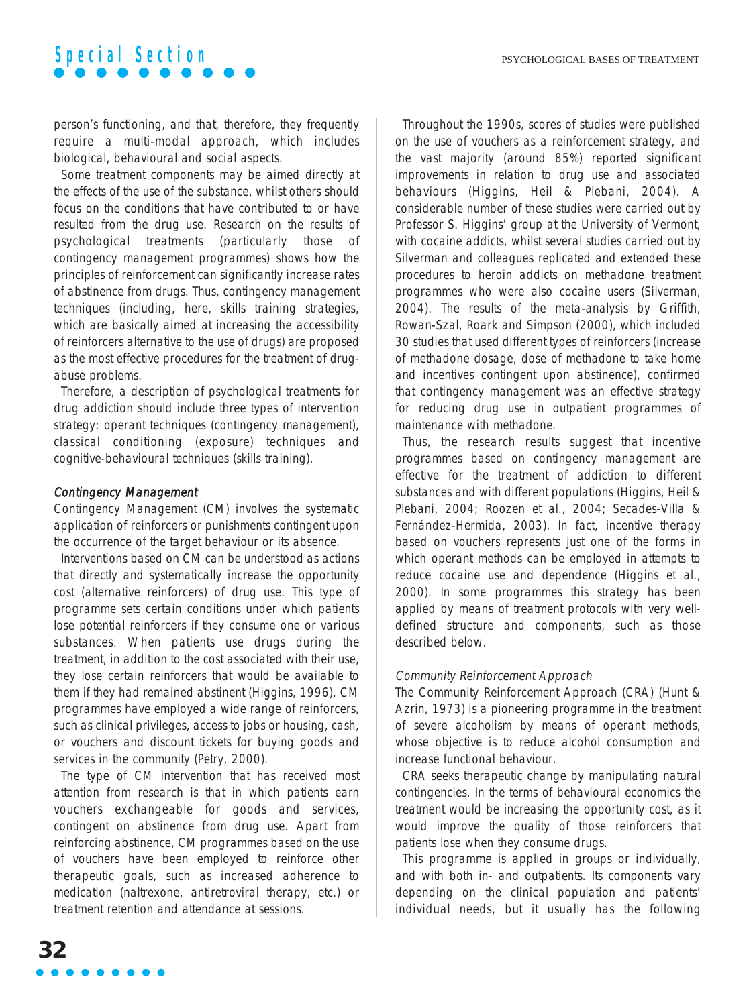person's functioning, and that, therefore, they frequently require a multi-modal approach, which includes biological, behavioural and social aspects.

Some treatment components may be aimed directly at the effects of the use of the substance, whilst others should focus on the conditions that have contributed to or have resulted from the drug use. Research on the results of psychological treatments (particularly those of contingency management programmes) shows how the principles of reinforcement can significantly increase rates of abstinence from drugs. Thus, contingency management techniques (including, here, skills training strategies, which are basically aimed at increasing the accessibility of reinforcers alternative to the use of drugs) are proposed as the most effective procedures for the treatment of drugabuse problems.

Therefore, a description of psychological treatments for drug addiction should include three types of intervention strategy: operant techniques (contingency management), classical conditioning (exposure) techniques and cognitive-behavioural techniques (skills training).

### Contingency Management

Contingency Management (CM) involves the systematic application of reinforcers or punishments contingent upon the occurrence of the target behaviour or its absence.

Interventions based on CM can be understood as actions that directly and systematically increase the opportunity cost (alternative reinforcers) of drug use. This type of programme sets certain conditions under which patients lose potential reinforcers if they consume one or various substances. When patients use drugs during the treatment, in addition to the cost associated with their use, they lose certain reinforcers that would be available to them if they had remained abstinent (Higgins, 1996). CM programmes have employed a wide range of reinforcers, such as clinical privileges, access to jobs or housing, cash, or vouchers and discount tickets for buying goods and services in the community (Petry, 2000).

The type of CM intervention that has received most attention from research is that in which patients earn vouchers exchangeable for goods and services, contingent on abstinence from drug use. Apart from reinforcing abstinence, CM programmes based on the use of vouchers have been employed to reinforce other therapeutic goals, such as increased adherence to medication (naltrexone, antiretroviral therapy, etc.) or treatment retention and attendance at sessions.

Throughout the 1990s, scores of studies were published on the use of vouchers as a reinforcement strategy, and the vast majority (around 85%) reported significant improvements in relation to drug use and associated behaviours (Higgins, Heil & Plebani, 2004). A considerable number of these studies were carried out by Professor S. Higgins' group at the University of Vermont, with cocaine addicts, whilst several studies carried out by Silverman and colleagues replicated and extended these procedures to heroin addicts on methadone treatment programmes who were also cocaine users (Silverman, 2004). The results of the meta-analysis by Griffith, Rowan-Szal, Roark and Simpson (2000), which included 30 studies that used different types of reinforcers (increase of methadone dosage, dose of methadone to take home and incentives contingent upon abstinence), confirmed that contingency management was an effective strategy for reducing drug use in outpatient programmes of maintenance with methadone.

Thus, the research results suggest that incentive programmes based on contingency management are effective for the treatment of addiction to different substances and with different populations (Higgins, Heil & Plebani, 2004; Roozen et al., 2004; Secades-Villa & Fernández-Hermida, 2003). In fact, incentive therapy based on vouchers represents just one of the forms in which operant methods can be employed in attempts to reduce cocaine use and dependence (Higgins et al., 2000). In some programmes this strategy has been applied by means of treatment protocols with very welldefined structure and components, such as those described below.

### Community Reinforcement Approach

The Community Reinforcement Approach (CRA) (Hunt & Azrin, 1973) is a pioneering programme in the treatment of severe alcoholism by means of operant methods, whose objective is to reduce alcohol consumption and increase functional behaviour.

CRA seeks therapeutic change by manipulating natural contingencies. In the terms of behavioural economics the treatment would be increasing the opportunity cost, as it would improve the quality of those reinforcers that patients lose when they consume drugs.

This programme is applied in groups or individually, and with both in- and outpatients. Its components vary depending on the clinical population and patients' individual needs, but it usually has the following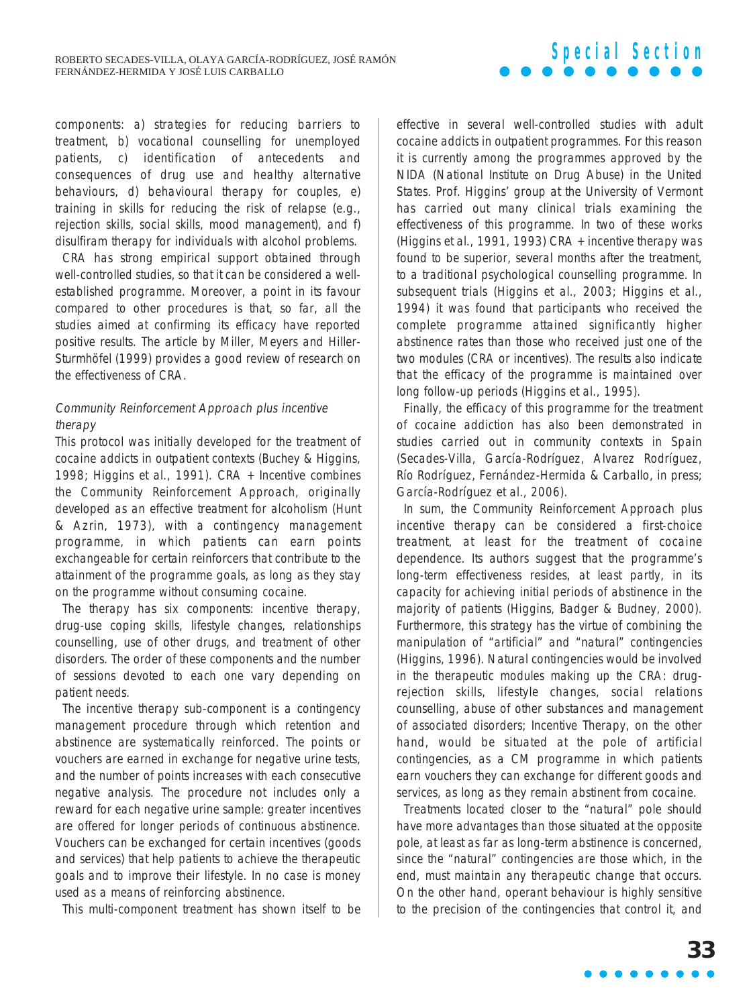components: a) strategies for reducing barriers to treatment, b) vocational counselling for unemployed patients, c) identification of antecedents and consequences of drug use and healthy alternative behaviours, d) behavioural therapy for couples, e) training in skills for reducing the risk of relapse (e.g., rejection skills, social skills, mood management), and f) disulfiram therapy for individuals with alcohol problems.

CRA has strong empirical support obtained through well-controlled studies, so that it can be considered a wellestablished programme. Moreover, a point in its favour compared to other procedures is that, so far, all the studies aimed at confirming its efficacy have reported positive results. The article by Miller, Meyers and Hiller-Sturmhöfel (1999) provides a good review of research on the effectiveness of CRA.

## Community Reinforcement Approach plus incentive therapy

This protocol was initially developed for the treatment of cocaine addicts in outpatient contexts (Buchey & Higgins, 1998; Higgins et al., 1991). CRA + Incentive combines the Community Reinforcement Approach, originally developed as an effective treatment for alcoholism (Hunt & Azrin, 1973), with a contingency management programme, in which patients can earn points exchangeable for certain reinforcers that contribute to the attainment of the programme goals, as long as they stay on the programme without consuming cocaine.

The therapy has six components: incentive therapy, drug-use coping skills, lifestyle changes, relationships counselling, use of other drugs, and treatment of other disorders. The order of these components and the number of sessions devoted to each one vary depending on patient needs.

The incentive therapy sub-component is a contingency management procedure through which retention and abstinence are systematically reinforced. The points or vouchers are earned in exchange for negative urine tests, and the number of points increases with each consecutive negative analysis. The procedure not includes only a reward for each negative urine sample: greater incentives are offered for longer periods of continuous abstinence. Vouchers can be exchanged for certain incentives (goods and services) that help patients to achieve the therapeutic goals and to improve their lifestyle. In no case is money used as a means of reinforcing abstinence.

This multi-component treatment has shown itself to be

effective in several well-controlled studies with adult cocaine addicts in outpatient programmes. For this reason it is currently among the programmes approved by the NIDA (National Institute on Drug Abuse) in the United States. Prof. Higgins' group at the University of Vermont has carried out many clinical trials examining the effectiveness of this programme. In two of these works (Higgins et al., 1991, 1993) CRA + incentive therapy was found to be superior, several months after the treatment, to a traditional psychological counselling programme. In subsequent trials (Higgins et al., 2003; Higgins et al., 1994) it was found that participants who received the complete programme attained significantly higher abstinence rates than those who received just one of the two modules (CRA or incentives). The results also indicate that the efficacy of the programme is maintained over long follow-up periods (Higgins et al., 1995).

Finally, the efficacy of this programme for the treatment of cocaine addiction has also been demonstrated in studies carried out in community contexts in Spain (Secades-Villa, García-Rodríguez, Alvarez Rodríguez, Río Rodríguez, Fernández-Hermida & Carballo, in press; García-Rodríguez et al., 2006).

In sum, the Community Reinforcement Approach plus incentive therapy can be considered a first-choice treatment, at least for the treatment of cocaine dependence. Its authors suggest that the programme's long-term effectiveness resides, at least partly, in its capacity for achieving initial periods of abstinence in the majority of patients (Higgins, Badger & Budney, 2000). Furthermore, this strategy has the virtue of combining the manipulation of "artificial" and "natural" contingencies (Higgins, 1996). Natural contingencies would be involved in the therapeutic modules making up the CRA: drugrejection skills, lifestyle changes, social relations counselling, abuse of other substances and management of associated disorders; Incentive Therapy, on the other hand, would be situated at the pole of artificial contingencies, as a CM programme in which patients earn vouchers they can exchange for different goods and services, as long as they remain abstinent from cocaine.

Treatments located closer to the "natural" pole should have more advantages than those situated at the opposite pole, at least as far as long-term abstinence is concerned, since the "natural" contingencies are those which, in the end, must maintain any therapeutic change that occurs. On the other hand, operant behaviour is highly sensitive to the precision of the contingencies that control it, and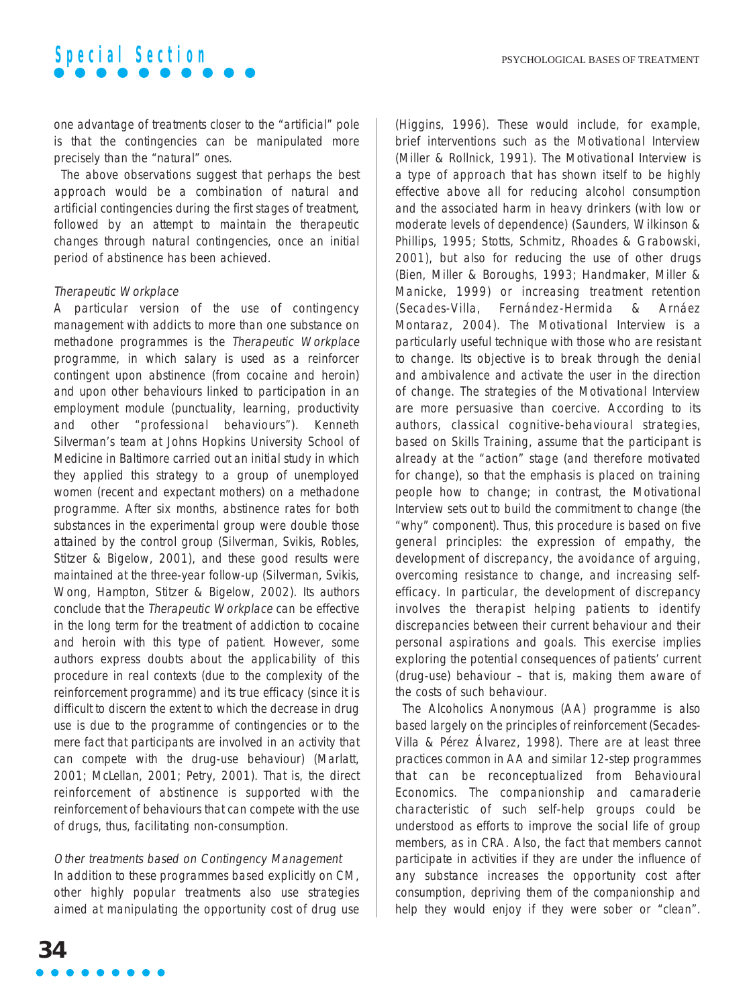one advantage of treatments closer to the "artificial" pole is that the contingencies can be manipulated more precisely than the "natural" ones.

The above observations suggest that perhaps the best approach would be a combination of natural and artificial contingencies during the first stages of treatment, followed by an attempt to maintain the therapeutic changes through natural contingencies, once an initial period of abstinence has been achieved.

### Therapeutic Workplace

A particular version of the use of contingency management with addicts to more than one substance on methadone programmes is the Therapeutic Workplace programme, in which salary is used as a reinforcer contingent upon abstinence (from cocaine and heroin) and upon other behaviours linked to participation in an employment module (punctuality, learning, productivity and other "professional behaviours"). Kenneth Silverman's team at Johns Hopkins University School of Medicine in Baltimore carried out an initial study in which they applied this strategy to a group of unemployed women (recent and expectant mothers) on a methadone programme. After six months, abstinence rates for both substances in the experimental group were double those attained by the control group (Silverman, Svikis, Robles, Stitzer & Bigelow, 2001), and these good results were maintained at the three-year follow-up (Silverman, Svikis, Wong, Hampton, Stitzer & Bigelow, 2002). Its authors conclude that the Therapeutic Workplace can be effective in the long term for the treatment of addiction to cocaine and heroin with this type of patient. However, some authors express doubts about the applicability of this procedure in real contexts (due to the complexity of the reinforcement programme) and its true efficacy (since it is difficult to discern the extent to which the decrease in drug use is due to the programme of contingencies or to the mere fact that participants are involved in an activity that can compete with the drug-use behaviour) (Marlatt, 2001; McLellan, 2001; Petry, 2001). That is, the direct reinforcement of abstinence is supported with the reinforcement of behaviours that can compete with the use of drugs, thus, facilitating non-consumption.

## Other treatments based on Contingency Management

In addition to these programmes based explicitly on CM, other highly popular treatments also use strategies aimed at manipulating the opportunity cost of drug use (Higgins, 1996). These would include, for example, brief interventions such as the Motivational Interview (Miller & Rollnick, 1991). The Motivational Interview is a type of approach that has shown itself to be highly effective above all for reducing alcohol consumption and the associated harm in heavy drinkers (with low or moderate levels of dependence) (Saunders, Wilkinson & Phillips, 1995; Stotts, Schmitz, Rhoades & Grabowski, 2001), but also for reducing the use of other drugs (Bien, Miller & Boroughs, 1993; Handmaker, Miller & Manicke, 1999) or increasing treatment retention (Secades-Villa, Fernández-Hermida & Arnáez Montaraz, 2004). The Motivational Interview is a particularly useful technique with those who are resistant to change. Its objective is to break through the denial and ambivalence and activate the user in the direction of change. The strategies of the Motivational Interview are more persuasive than coercive. According to its authors, classical cognitive-behavioural strategies, based on Skills Training, assume that the participant is already at the "action" stage (and therefore motivated for change), so that the emphasis is placed on training people how to change; in contrast, the Motivational Interview sets out to build the commitment to change (the "why" component). Thus, this procedure is based on five general principles: the expression of empathy, the development of discrepancy, the avoidance of arguing, overcoming resistance to change, and increasing selfefficacy. In particular, the development of discrepancy involves the therapist helping patients to identify discrepancies between their current behaviour and their personal aspirations and goals. This exercise implies exploring the potential consequences of patients' current (drug-use) behaviour – that is, making them aware of the costs of such behaviour.

The Alcoholics Anonymous (AA) programme is also based largely on the principles of reinforcement (Secades-Villa & Pérez Álvarez, 1998). There are at least three practices common in AA and similar 12-step programmes that can be reconceptualized from Behavioural Economics. The companionship and camaraderie characteristic of such self-help groups could be understood as efforts to improve the social life of group members, as in CRA. Also, the fact that members cannot participate in activities if they are under the influence of any substance increases the opportunity cost after consumption, depriving them of the companionship and help they would enjoy if they were sober or "clean".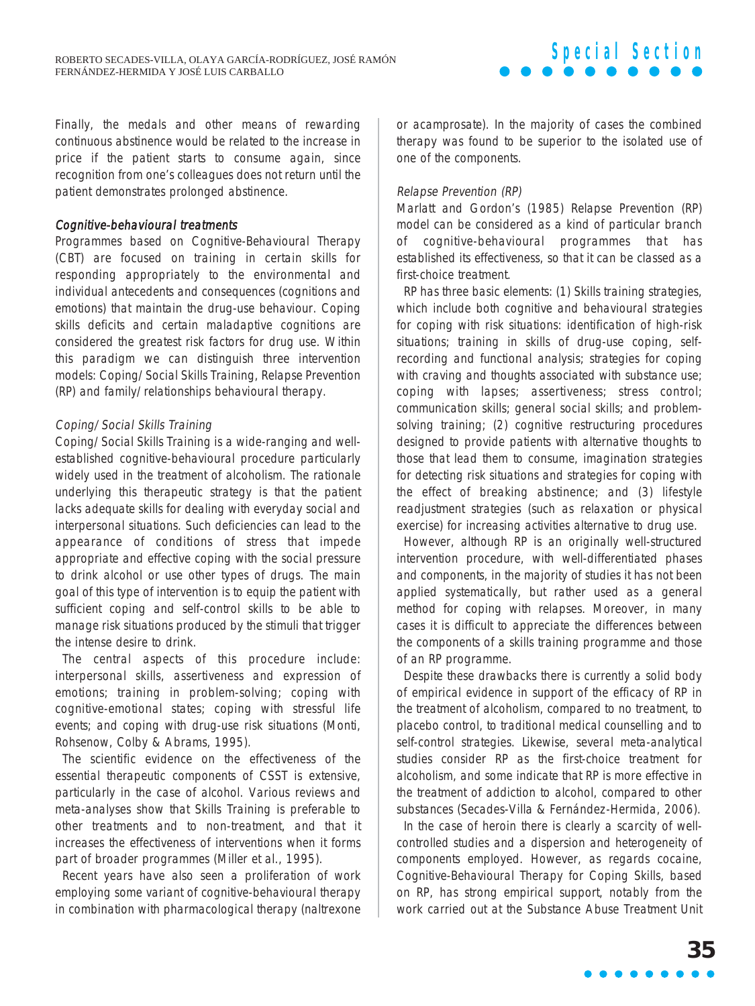Finally, the medals and other means of rewarding continuous abstinence would be related to the increase in price if the patient starts to consume again, since recognition from one's colleagues does not return until the patient demonstrates prolonged abstinence.

### Cognitive-behavioural treatments

Programmes based on Cognitive-Behavioural Therapy (CBT) are focused on training in certain skills for responding appropriately to the environmental and individual antecedents and consequences (cognitions and emotions) that maintain the drug-use behaviour. Coping skills deficits and certain maladaptive cognitions are considered the greatest risk factors for drug use. Within this paradigm we can distinguish three intervention models: Coping/Social Skills Training, Relapse Prevention (RP) and family/relationships behavioural therapy.

## Coping/Social Skills Training

Coping/Social Skills Training is a wide-ranging and wellestablished cognitive-behavioural procedure particularly widely used in the treatment of alcoholism. The rationale underlying this therapeutic strategy is that the patient lacks adequate skills for dealing with everyday social and interpersonal situations. Such deficiencies can lead to the appearance of conditions of stress that impede appropriate and effective coping with the social pressure to drink alcohol or use other types of drugs. The main goal of this type of intervention is to equip the patient with sufficient coping and self-control skills to be able to manage risk situations produced by the stimuli that trigger the intense desire to drink.

The central aspects of this procedure include: interpersonal skills, assertiveness and expression of emotions; training in problem-solving; coping with cognitive-emotional states; coping with stressful life events; and coping with drug-use risk situations (Monti, Rohsenow, Colby & Abrams, 1995).

The scientific evidence on the effectiveness of the essential therapeutic components of CSST is extensive, particularly in the case of alcohol. Various reviews and meta-analyses show that Skills Training is preferable to other treatments and to non-treatment, and that it increases the effectiveness of interventions when it forms part of broader programmes (Miller et al., 1995).

Recent years have also seen a proliferation of work employing some variant of cognitive-behavioural therapy in combination with pharmacological therapy (naltrexone

or acamprosate). In the majority of cases the combined therapy was found to be superior to the isolated use of one of the components.

### Relapse Prevention (RP)

Marlatt and Gordon's (1985) Relapse Prevention (RP) model can be considered as a kind of particular branch of cognitive-behavioural programmes that has established its effectiveness, so that it can be classed as a first-choice treatment.

RP has three basic elements: (1) Skills training strategies, which include both cognitive and behavioural strategies for coping with risk situations: identification of high-risk situations; training in skills of drug-use coping, selfrecording and functional analysis; strategies for coping with craving and thoughts associated with substance use; coping with lapses; assertiveness; stress control; communication skills; general social skills; and problemsolving training; (2) cognitive restructuring procedures designed to provide patients with alternative thoughts to those that lead them to consume, imagination strategies for detecting risk situations and strategies for coping with the effect of breaking abstinence; and (3) lifestyle readjustment strategies (such as relaxation or physical exercise) for increasing activities alternative to drug use.

However, although RP is an originally well-structured intervention procedure, with well-differentiated phases and components, in the majority of studies it has not been applied systematically, but rather used as a general method for coping with relapses. Moreover, in many cases it is difficult to appreciate the differences between the components of a skills training programme and those of an RP programme.

Despite these drawbacks there is currently a solid body of empirical evidence in support of the efficacy of RP in the treatment of alcoholism, compared to no treatment, to placebo control, to traditional medical counselling and to self-control strategies. Likewise, several meta-analytical studies consider RP as the first-choice treatment for alcoholism, and some indicate that RP is more effective in the treatment of addiction to alcohol, compared to other substances (Secades-Villa & Fernández-Hermida, 2006).

In the case of heroin there is clearly a scarcity of wellcontrolled studies and a dispersion and heterogeneity of components employed. However, as regards cocaine, Cognitive-Behavioural Therapy for Coping Skills, based on RP, has strong empirical support, notably from the work carried out at the Substance Abuse Treatment Unit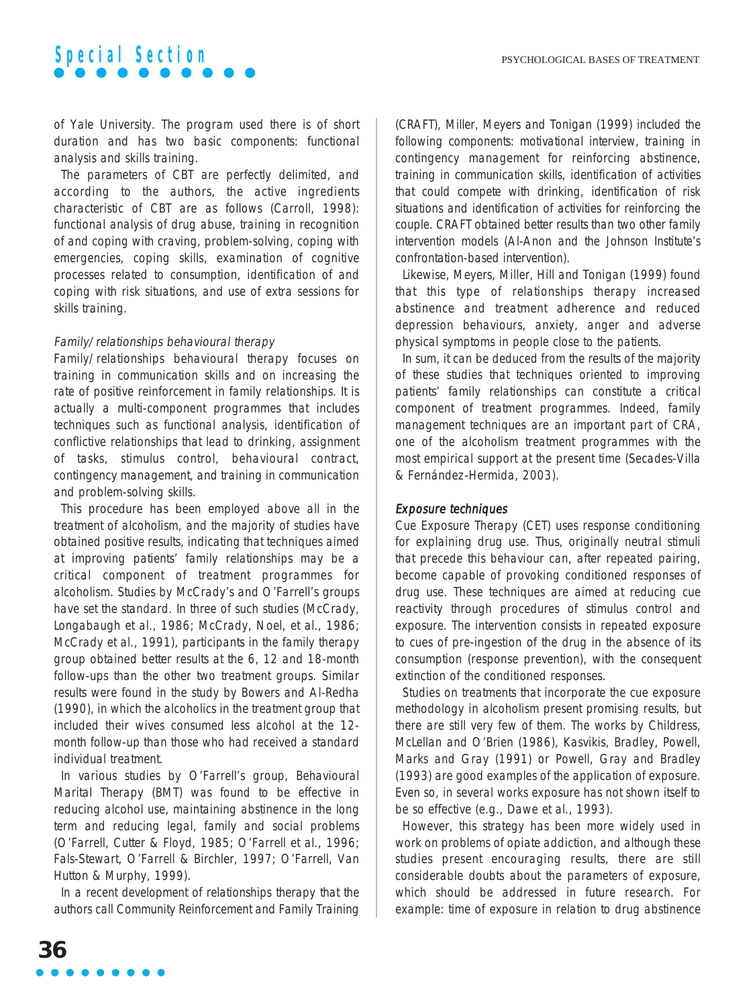of Yale University. The program used there is of short duration and has two basic components: functional analysis and skills training.

The parameters of CBT are perfectly delimited, and according to the authors, the active ingredients characteristic of CBT are as follows (Carroll, 1998): functional analysis of drug abuse, training in recognition of and coping with craving, problem-solving, coping with emergencies, coping skills, examination of cognitive processes related to consumption, identification of and coping with risk situations, and use of extra sessions for skills training.

### Family/relationships behavioural therapy

Family/relationships behavioural therapy focuses on training in communication skills and on increasing the rate of positive reinforcement in family relationships. It is actually a multi-component programmes that includes techniques such as functional analysis, identification of conflictive relationships that lead to drinking, assignment of tasks, stimulus control, behavioural contract, contingency management, and training in communication and problem-solving skills.

This procedure has been employed above all in the treatment of alcoholism, and the majority of studies have obtained positive results, indicating that techniques aimed at improving patients' family relationships may be a critical component of treatment programmes for alcoholism. Studies by McCrady's and O'Farrell's groups have set the standard. In three of such studies (McCrady, Longabaugh et al., 1986; McCrady, Noel, et al., 1986; McCrady et al., 1991), participants in the family therapy group obtained better results at the 6, 12 and 18-month follow-ups than the other two treatment groups. Similar results were found in the study by Bowers and Al-Redha (1990), in which the alcoholics in the treatment group that included their wives consumed less alcohol at the 12 month follow-up than those who had received a standard individual treatment.

In various studies by O'Farrell's group, Behavioural Marital Therapy (BMT) was found to be effective in reducing alcohol use, maintaining abstinence in the long term and reducing legal, family and social problems (O'Farrell, Cutter & Floyd, 1985; O'Farrell et al., 1996; Fals-Stewart, O'Farrell & Birchler, 1997; O'Farrell, Van Hutton & Murphy, 1999).

In a recent development of relationships therapy that the authors call Community Reinforcement and Family Training (CRAFT), Miller, Meyers and Tonigan (1999) included the following components: motivational interview, training in contingency management for reinforcing abstinence, training in communication skills, identification of activities that could compete with drinking, identification of risk situations and identification of activities for reinforcing the couple. CRAFT obtained better results than two other family intervention models (Al-Anon and the Johnson Institute's confrontation-based intervention).

Likewise, Meyers, Miller, Hill and Tonigan (1999) found that this type of relationships therapy increased abstinence and treatment adherence and reduced depression behaviours, anxiety, anger and adverse physical symptoms in people close to the patients.

In sum, it can be deduced from the results of the majority of these studies that techniques oriented to improving patients' family relationships can constitute a critical component of treatment programmes. Indeed, family management techniques are an important part of CRA, one of the alcoholism treatment programmes with the most empirical support at the present time (Secades-Villa & Fernández-Hermida, 2003).

### Exposure techniques

Cue Exposure Therapy (CET) uses response conditioning for explaining drug use. Thus, originally neutral stimuli that precede this behaviour can, after repeated pairing, become capable of provoking conditioned responses of drug use. These techniques are aimed at reducing cue reactivity through procedures of stimulus control and exposure. The intervention consists in repeated exposure to cues of pre-ingestion of the drug in the absence of its consumption (response prevention), with the consequent extinction of the conditioned responses.

Studies on treatments that incorporate the cue exposure methodology in alcoholism present promising results, but there are still very few of them. The works by Childress, McLellan and O'Brien (1986), Kasvikis, Bradley, Powell, Marks and Gray (1991) or Powell, Gray and Bradley (1993) are good examples of the application of exposure. Even so, in several works exposure has not shown itself to be so effective (e.g., Dawe et al., 1993).

However, this strategy has been more widely used in work on problems of opiate addiction, and although these studies present encouraging results, there are still considerable doubts about the parameters of exposure, which should be addressed in future research. For example: time of exposure in relation to drug abstinence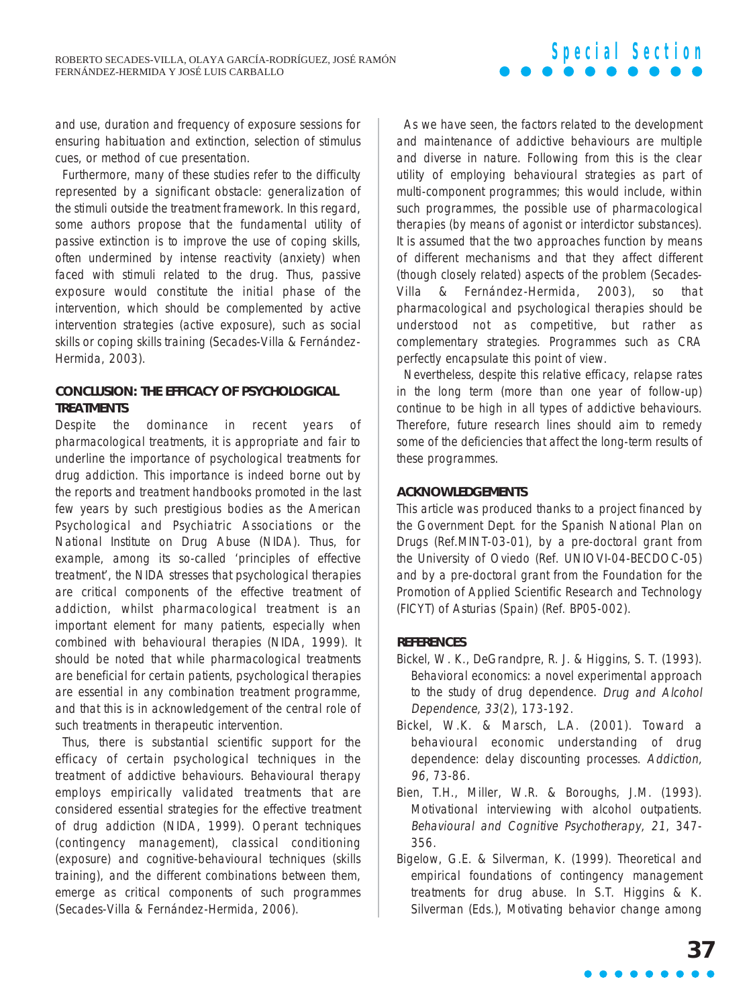and use, duration and frequency of exposure sessions for ensuring habituation and extinction, selection of stimulus cues, or method of cue presentation.

Furthermore, many of these studies refer to the difficulty represented by a significant obstacle: generalization of the stimuli outside the treatment framework. In this regard, some authors propose that the fundamental utility of passive extinction is to improve the use of coping skills, often undermined by intense reactivity (anxiety) when faced with stimuli related to the drug. Thus, passive exposure would constitute the initial phase of the intervention, which should be complemented by active intervention strategies (active exposure), such as social skills or coping skills training (Secades-Villa & Fernández-Hermida, 2003).

## **CONCLUSION: THE EFFICACY OF PSYCHOLOGICAL TREATMENTS**

Despite the dominance in recent years of pharmacological treatments, it is appropriate and fair to underline the importance of psychological treatments for drug addiction. This importance is indeed borne out by the reports and treatment handbooks promoted in the last few years by such prestigious bodies as the American Psychological and Psychiatric Associations or the National Institute on Drug Abuse (NIDA). Thus, for example, among its so-called 'principles of effective treatment', the NIDA stresses that psychological therapies are critical components of the effective treatment of addiction, whilst pharmacological treatment is an important element for many patients, especially when combined with behavioural therapies (NIDA, 1999). It should be noted that while pharmacological treatments are beneficial for certain patients, psychological therapies are essential in any combination treatment programme, and that this is in acknowledgement of the central role of such treatments in therapeutic intervention.

Thus, there is substantial scientific support for the efficacy of certain psychological techniques in the treatment of addictive behaviours. Behavioural therapy employs empirically validated treatments that are considered essential strategies for the effective treatment of drug addiction (NIDA, 1999). Operant techniques (contingency management), classical conditioning (exposure) and cognitive-behavioural techniques (skills training), and the different combinations between them, emerge as critical components of such programmes (Secades-Villa & Fernández-Hermida, 2006).

As we have seen, the factors related to the development and maintenance of addictive behaviours are multiple and diverse in nature. Following from this is the clear utility of employing behavioural strategies as part of multi-component programmes; this would include, within such programmes, the possible use of pharmacological therapies (by means of agonist or interdictor substances). It is assumed that the two approaches function by means of different mechanisms and that they affect different (though closely related) aspects of the problem (Secades-Villa & Fernández-Hermida, 2003), so that pharmacological and psychological therapies should be understood not as competitive, but rather as complementary strategies. Programmes such as CRA perfectly encapsulate this point of view.

Nevertheless, despite this relative efficacy, relapse rates in the long term (more than one year of follow-up) continue to be high in all types of addictive behaviours. Therefore, future research lines should aim to remedy some of the deficiencies that affect the long-term results of these programmes.

## **ACKNOWLEDGEMENTS**

This article was produced thanks to a project financed by the Government Dept. for the Spanish National Plan on Drugs (Ref.MINT-03-01), by a pre-doctoral grant from the University of Oviedo (Ref. UNIOVI-04-BECDOC-05) and by a pre-doctoral grant from the Foundation for the Promotion of Applied Scientific Research and Technology (FICYT) of Asturias (Spain) (Ref. BP05-002).

## **REFERENCES**

- Bickel, W. K., DeGrandpre, R. J. & Higgins, S. T. (1993). Behavioral economics: a novel experimental approach to the study of drug dependence. Drug and Alcohol Dependence, 33(2), 173-192.
- Bickel, W.K. & Marsch, L.A. (2001). Toward a behavioural economic understanding of drug dependence: delay discounting processes. Addiction, 96, 73-86.
- Bien, T.H., Miller, W.R. & Boroughs, J.M. (1993). Motivational interviewing with alcohol outpatients. Behavioural and Cognitive Psychotherapy, 21, 347- 356.
- Bigelow, G.E. & Silverman, K. (1999). Theoretical and empirical foundations of contingency management treatments for drug abuse. In S.T. Higgins & K. Silverman (Eds.), Motivating behavior change among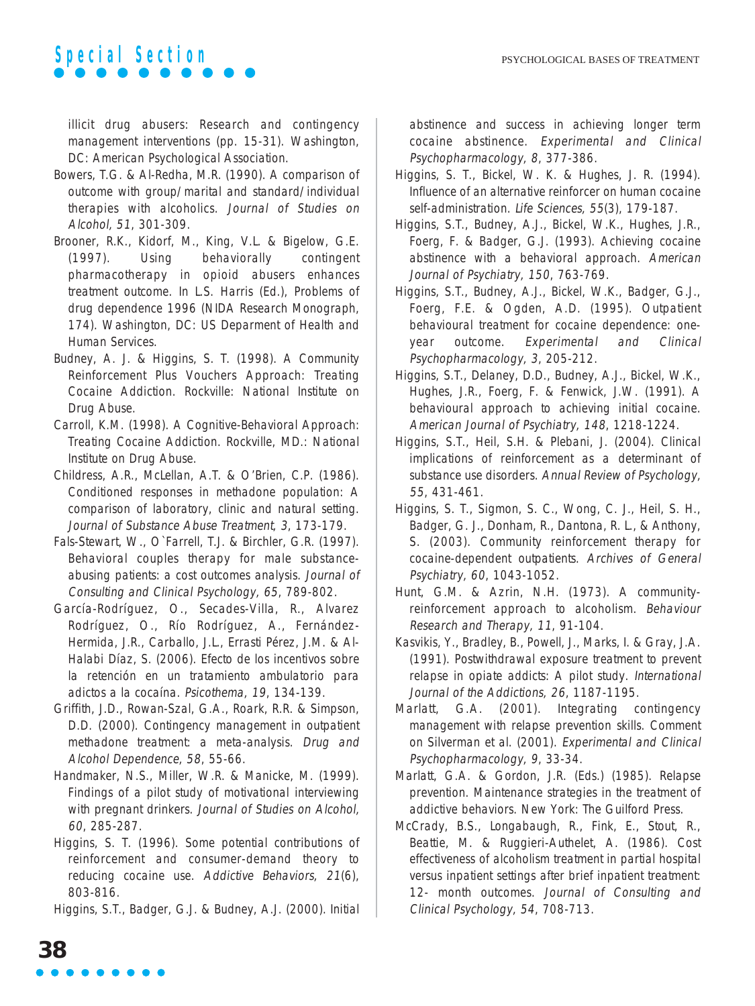illicit drug abusers: Research and contingency management interventions (pp. 15-31). Washington, DC: American Psychological Association.

- Bowers, T.G. & Al-Redha, M.R. (1990). A comparison of outcome with group/marital and standard/individual therapies with alcoholics. Journal of Studies on Alcohol, 51, 301-309.
- Brooner, R.K., Kidorf, M., King, V.L. & Bigelow, G.E. (1997). Using behaviorally contingent pharmacotherapy in opioid abusers enhances treatment outcome. In L.S. Harris (Ed.), Problems of drug dependence 1996 (NIDA Research Monograph, 174). Washington, DC: US Deparment of Health and Human Services.
- Budney, A. J. & Higgins, S. T. (1998). A Community Reinforcement Plus Vouchers Approach: Treating Cocaine Addiction. Rockville: National Institute on Drug Abuse.
- Carroll, K.M. (1998). A Cognitive-Behavioral Approach: Treating Cocaine Addiction. Rockville, MD.: National Institute on Drug Abuse.
- Childress, A.R., McLellan, A.T. & O'Brien, C.P. (1986). Conditioned responses in methadone population: A comparison of laboratory, clinic and natural setting. Journal of Substance Abuse Treatment, 3, 173-179.
- Fals-Stewart, W., O`Farrell, T.J. & Birchler, G.R. (1997). Behavioral couples therapy for male substanceabusing patients: a cost outcomes analysis. Journal of Consulting and Clinical Psychology, 65, 789-802.
- García-Rodríguez, O., Secades-Villa, R., Alvarez Rodríguez, O., Río Rodríguez, A., Fernández-Hermida, J.R., Carballo, J.L., Errasti Pérez, J.M. & Al-Halabi Díaz, S. (2006). Efecto de los incentivos sobre la retención en un tratamiento ambulatorio para adictos a la cocaína. Psicothema, 19, 134-139.
- Griffith, J.D., Rowan-Szal, G.A., Roark, R.R. & Simpson, D.D. (2000). Contingency management in outpatient methadone treatment: a meta-analysis. Drug and Alcohol Dependence, 58, 55-66.
- Handmaker, N.S., Miller, W.R. & Manicke, M. (1999). Findings of a pilot study of motivational interviewing with pregnant drinkers. Journal of Studies on Alcohol, 60, 285-287.
- Higgins, S. T. (1996). Some potential contributions of reinforcement and consumer-demand theory to reducing cocaine use. Addictive Behaviors, 21(6), 803-816.

Higgins, S.T., Badger, G.J. & Budney, A.J. (2000). Initial

abstinence and success in achieving longer term cocaine abstinence. Experimental and Clinical Psychopharmacology, 8, 377-386.

- Higgins, S. T., Bickel, W. K. & Hughes, J. R. (1994). Influence of an alternative reinforcer on human cocaine self-administration. Life Sciences, 55(3), 179-187.
- Higgins, S.T., Budney, A.J., Bickel, W.K., Hughes, J.R., Foerg, F. & Badger, G.J. (1993). Achieving cocaine abstinence with a behavioral approach. American Journal of Psychiatry, 150, 763-769.
- Higgins, S.T., Budney, A.J., Bickel, W.K., Badger, G.J., Foerg, F.E. & Ogden, A.D. (1995). Outpatient behavioural treatment for cocaine dependence: oneyear outcome. Experimental and Clinical Psychopharmacology, 3, 205-212.
- Higgins, S.T., Delaney, D.D., Budney, A.J., Bickel, W.K., Hughes, J.R., Foerg, F. & Fenwick, J.W. (1991). A behavioural approach to achieving initial cocaine. American Journal of Psychiatry, 148, 1218-1224.
- Higgins, S.T., Heil, S.H. & Plebani, J. (2004). Clinical implications of reinforcement as a determinant of substance use disorders. Annual Review of Psychology, 55, 431-461.
- Higgins, S. T., Sigmon, S. C., Wong, C. J., Heil, S. H., Badger, G. J., Donham, R., Dantona, R. L., & Anthony, S. (2003). Community reinforcement therapy for cocaine-dependent outpatients. Archives of General Psychiatry, 60, 1043-1052.
- Hunt, G.M. & Azrin, N.H. (1973). A communityreinforcement approach to alcoholism. Behaviour Research and Therapy, 11, 91-104.
- Kasvikis, Y., Bradley, B., Powell, J., Marks, I. & Gray, J.A. (1991). Postwithdrawal exposure treatment to prevent relapse in opiate addicts: A pilot study. International Journal of the Addictions, 26, 1187-1195.
- Marlatt, G.A. (2001). Integrating contingency management with relapse prevention skills. Comment on Silverman et al. (2001). Experimental and Clinical Psychopharmacology, 9, 33-34.
- Marlatt, G.A. & Gordon, J.R. (Eds.) (1985). Relapse prevention. Maintenance strategies in the treatment of addictive behaviors. New York: The Guilford Press.
- McCrady, B.S., Longabaugh, R., Fink, E., Stout, R., Beattie, M. & Ruggieri-Authelet, A. (1986). Cost effectiveness of alcoholism treatment in partial hospital versus inpatient settings after brief inpatient treatment: 12- month outcomes. Journal of Consulting and Clinical Psychology, 54, 708-713.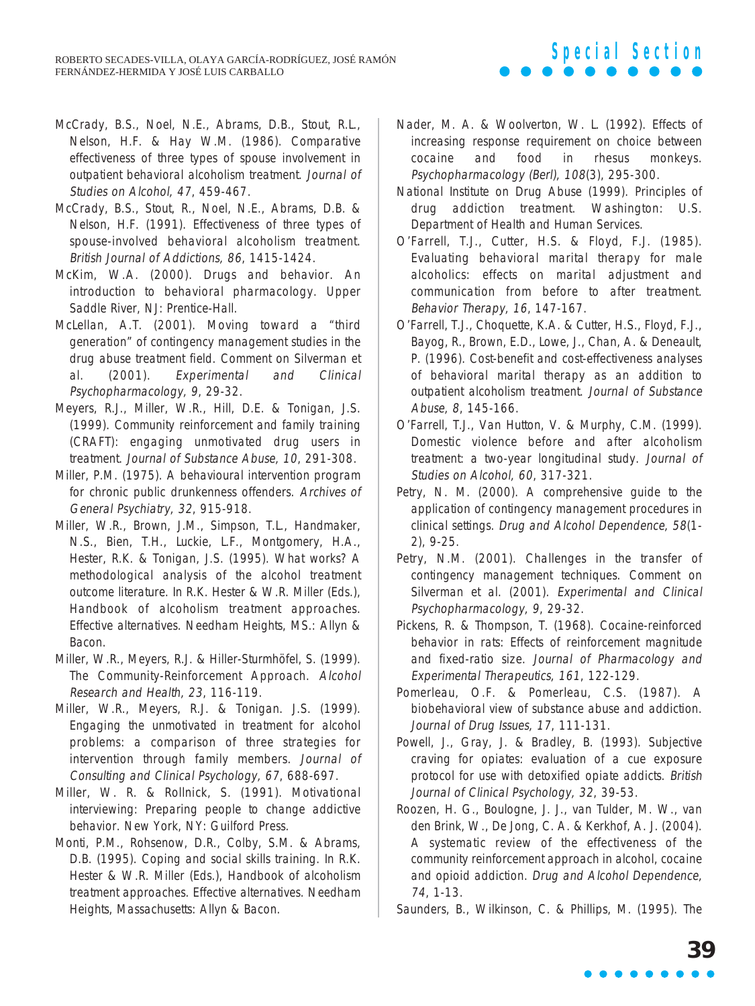## McCrady, B.S., Noel, N.E., Abrams, D.B., Stout, R.L., Nelson, H.F. & Hay W.M. (1986). Comparative effectiveness of three types of spouse involvement in outpatient behavioral alcoholism treatment. Journal of Studies on Alcohol, 47, 459-467.

- McCrady, B.S., Stout, R., Noel, N.E., Abrams, D.B. & Nelson, H.F. (1991). Effectiveness of three types of spouse-involved behavioral alcoholism treatment. British Journal of Addictions, 86, 1415-1424.
- McKim, W.A. (2000). Drugs and behavior. An introduction to behavioral pharmacology. Upper Saddle River, NJ: Prentice-Hall.
- McLellan, A.T. (2001). Moving toward a "third generation" of contingency management studies in the drug abuse treatment field. Comment on Silverman et al. (2001). Experimental and Clinical Psychopharmacology, 9, 29-32.
- Meyers, R.J., Miller, W.R., Hill, D.E. & Tonigan, J.S. (1999). Community reinforcement and family training (CRAFT): engaging unmotivated drug users in treatment. Journal of Substance Abuse, 10, 291-308.
- Miller, P.M. (1975). A behavioural intervention program for chronic public drunkenness offenders. Archives of General Psychiatry, 32, 915-918.
- Miller, W.R., Brown, J.M., Simpson, T.L., Handmaker, N.S., Bien, T.H., Luckie, L.F., Montgomery, H.A., Hester, R.K. & Tonigan, J.S. (1995). What works? A methodological analysis of the alcohol treatment outcome literature. In R.K. Hester & W.R. Miller (Eds.), Handbook of alcoholism treatment approaches. Effective alternatives. Needham Heights, MS.: Allyn & Bacon.
- Miller, W.R., Meyers, R.J. & Hiller-Sturmhöfel, S. (1999). The Community-Reinforcement Approach. Alcohol Research and Health, 23, 116-119.
- Miller, W.R., Meyers, R.J. & Tonigan. J.S. (1999). Engaging the unmotivated in treatment for alcohol problems: a comparison of three strategies for intervention through family members. Journal of Consulting and Clinical Psychology, 67, 688-697.
- Miller, W. R. & Rollnick, S. (1991). Motivational interviewing: Preparing people to change addictive behavior. New York, NY: Guilford Press.
- Monti, P.M., Rohsenow, D.R., Colby, S.M. & Abrams, D.B. (1995). Coping and social skills training. In R.K. Hester & W.R. Miller (Eds.), Handbook of alcoholism treatment approaches. Effective alternatives. Needham Heights, Massachusetts: Allyn & Bacon.

Nader, M. A. & Woolverton, W. L. (1992). Effects of increasing response requirement on choice between cocaine and food in rhesus monkeys. Psychopharmacology (Berl), 108(3), 295-300.

**Special Section**

- National Institute on Drug Abuse (1999). Principles of drug addiction treatment. Washington: U.S. Department of Health and Human Services.
- O'Farrell, T.J., Cutter, H.S. & Floyd, F.J. (1985). Evaluating behavioral marital therapy for male alcoholics: effects on marital adjustment and communication from before to after treatment. Behavior Therapy, 16, 147-167.
- O'Farrell, T.J., Choquette, K.A. & Cutter, H.S., Floyd, F.J., Bayog, R., Brown, E.D., Lowe, J., Chan, A. & Deneault, P. (1996). Cost-benefit and cost-effectiveness analyses of behavioral marital therapy as an addition to outpatient alcoholism treatment. Journal of Substance Abuse, 8, 145-166.
- O'Farrell, T.J., Van Hutton, V. & Murphy, C.M. (1999). Domestic violence before and after alcoholism treatment: a two-year longitudinal study. Journal of Studies on Alcohol, 60, 317-321.
- Petry, N. M. (2000). A comprehensive guide to the application of contingency management procedures in clinical settings. Drug and Alcohol Dependence, 58(1- 2), 9-25.
- Petry, N.M. (2001). Challenges in the transfer of contingency management techniques. Comment on Silverman et al. (2001). Experimental and Clinical Psychopharmacology, 9, 29-32.
- Pickens, R. & Thompson, T. (1968). Cocaine-reinforced behavior in rats: Effects of reinforcement magnitude and fixed-ratio size. Journal of Pharmacology and Experimental Therapeutics, 161, 122-129.
- Pomerleau, O.F. & Pomerleau, C.S. (1987). A biobehavioral view of substance abuse and addiction. Journal of Drug Issues, 17, 111-131.
- Powell, J., Gray, J. & Bradley, B. (1993). Subjective craving for opiates: evaluation of a cue exposure protocol for use with detoxified opiate addicts. British Journal of Clinical Psychology, 32, 39-53.
- Roozen, H. G., Boulogne, J. J., van Tulder, M. W., van den Brink, W., De Jong, C. A. & Kerkhof, A. J. (2004). A systematic review of the effectiveness of the community reinforcement approach in alcohol, cocaine and opioid addiction. Drug and Alcohol Dependence, 74, 1-13.
- Saunders, B., Wilkinson, C. & Phillips, M. (1995). The